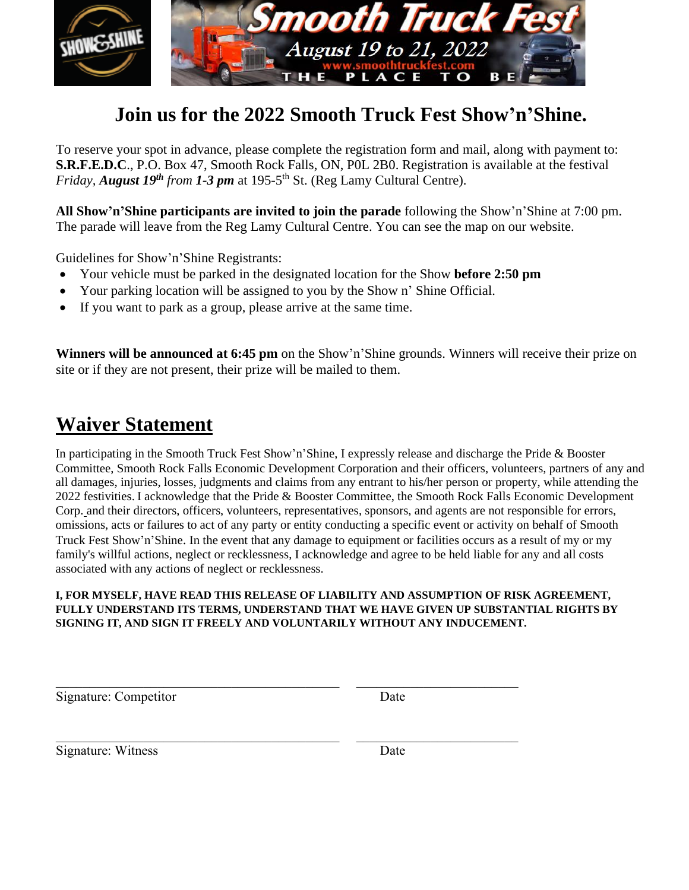

## **Join us for the 2022 Smooth Truck Fest Show'n'Shine.**

To reserve your spot in advance, please complete the registration form and mail, along with payment to: **S.R.F.E.D.C**., P.O. Box 47, Smooth Rock Falls, ON, P0L 2B0. Registration is available at the festival *Friday, August 19<sup>th</sup> from 1-3 pm* at 195-5<sup>th</sup> St. (Reg Lamy Cultural Centre).

**All Show'n'Shine participants are invited to join the parade** following the Show'n'Shine at 7:00 pm. The parade will leave from the Reg Lamy Cultural Centre. You can see the map on our website.

Guidelines for Show'n'Shine Registrants:

- Your vehicle must be parked in the designated location for the Show **before 2:50 pm**
- Your parking location will be assigned to you by the Show n' Shine Official.
- If you want to park as a group, please arrive at the same time.

**Winners will be announced at 6:45 pm** on the Show'n'Shine grounds. Winners will receive their prize on site or if they are not present, their prize will be mailed to them.

## **Waiver Statement**

In participating in the Smooth Truck Fest Show'n'Shine, I expressly release and discharge the Pride & Booster Committee, Smooth Rock Falls Economic Development Corporation and their officers, volunteers, partners of any and all damages, injuries, losses, judgments and claims from any entrant to his/her person or property, while attending the 2022 festivities. I acknowledge that the Pride & Booster Committee, the Smooth Rock Falls Economic Development Corp. and their directors, officers, volunteers, representatives, sponsors, and agents are not responsible for errors, omissions, acts or failures to act of any party or entity conducting a specific event or activity on behalf of Smooth Truck Fest Show'n'Shine. In the event that any damage to equipment or facilities occurs as a result of my or my family's willful actions, neglect or recklessness, I acknowledge and agree to be held liable for any and all costs associated with any actions of neglect or recklessness.

## **I, FOR MYSELF, HAVE READ THIS RELEASE OF LIABILITY AND ASSUMPTION OF RISK AGREEMENT, FULLY UNDERSTAND ITS TERMS, UNDERSTAND THAT WE HAVE GIVEN UP SUBSTANTIAL RIGHTS BY SIGNING IT, AND SIGN IT FREELY AND VOLUNTARILY WITHOUT ANY INDUCEMENT.**

Signature: Competitor Date

Signature: Witness Date